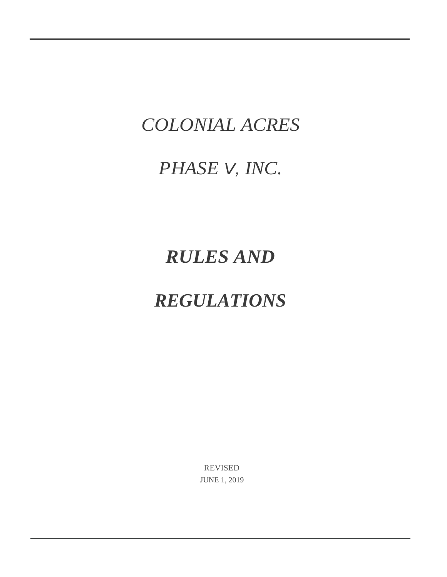# *COLONIAL ACRES*

# *PHASE V, INC.*

# *RULES AND*

# *REGULATIONS*

REVISED JUNE 1, 2019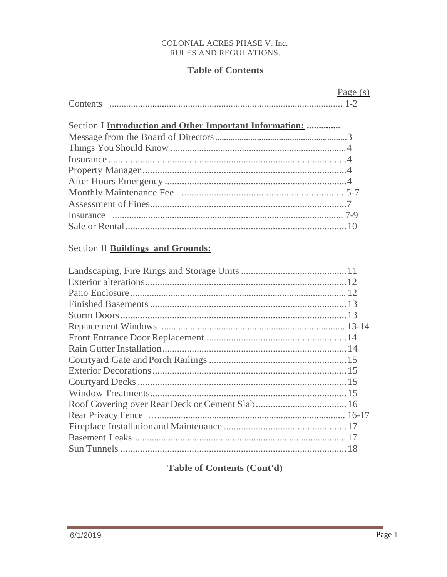# **Table of Contents**

| Page $(s)$                                                                                                                                             |
|--------------------------------------------------------------------------------------------------------------------------------------------------------|
| Section I Introduction and Other Important Information:                                                                                                |
|                                                                                                                                                        |
|                                                                                                                                                        |
|                                                                                                                                                        |
|                                                                                                                                                        |
|                                                                                                                                                        |
|                                                                                                                                                        |
|                                                                                                                                                        |
|                                                                                                                                                        |
|                                                                                                                                                        |
| Section II Buildings and Grounds:                                                                                                                      |
|                                                                                                                                                        |
|                                                                                                                                                        |
|                                                                                                                                                        |
|                                                                                                                                                        |
|                                                                                                                                                        |
|                                                                                                                                                        |
|                                                                                                                                                        |
|                                                                                                                                                        |
|                                                                                                                                                        |
|                                                                                                                                                        |
|                                                                                                                                                        |
|                                                                                                                                                        |
|                                                                                                                                                        |
| $\sim$ 1.6 $\pm$ 1.7 $\pm$ 1.7 $\pm$ 1.7 $\pm$ 1.7 $\pm$ 1.7 $\pm$ 1.7 $\pm$ 1.7 $\pm$ 1.7 $\pm$<br>$D_{\text{new}}$ $D_{\text{new}}$ $D_{\text{new}}$ |

**Table of Contents (Cont'd)**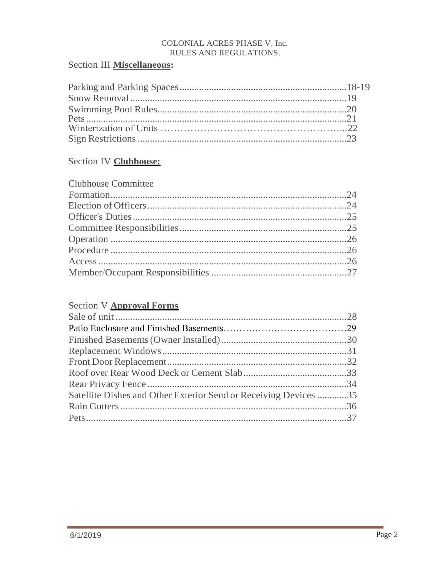## Section III Miscellaneous:

## Section IV Clubhouse:

# **Section V Approval Forms** Satellite Dishes and Other Exterior Send or Receiving Devices ...........35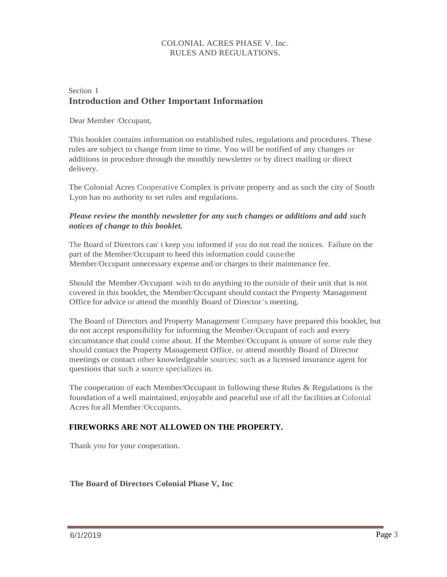## Section I **Introduction and Other Important Information**

Dear Member /Occupant,

This booklet contains information on established rules, regulations and procedures. These rules are subject to change from time to time. You will be notified of any changes or additions in procedure through the monthly newsletter or by direct mailing or direct delivery.

The Colonial Acres Cooperative Complex is private property and as such the city of South Lyon has no authority to set rules and regulations.

## *Please review the monthly newsletter for any such changes or additions and add such notices of change to this booklet.*

The Board of Directors can' t keep you informed if you do not read the notices. Failure on the part of the Member/Occupant to heed this information could cause the Member/Occupant unnecessary expense and/or charges to their maintenance fee.

Should the Member/Occupant wish to do anything to the outside of their unit that is not covered in this booklet, the Member/Occupant should contact the Property Management Office for advice or attend the monthly Board of Director's meeting.

The Board of Directors and Property Management Company have prepared this booklet, but do not accept responsibility for informing the Member/Occupant of each and every circumstance that could come about. If the Member/Occupant is unsure of some rule they should contact the Property Management Office, or attend monthly Board of Director meetings or contact other knowledgeable sources; such as a licensed insurance agent for questions that such a source specializes in.

The cooperation of each Member/Occupant in following these Rules & Regulations is the foundation of a well maintained, enjoyable and peaceful use of all the facilities at Colonial Acres for all Member/Occupants.

## **FIREWORKS ARE NOT ALLOWED ON THE PROPERTY.**

Thank you for your cooperation.

## **The Board of Directors Colonial Phase V, Inc**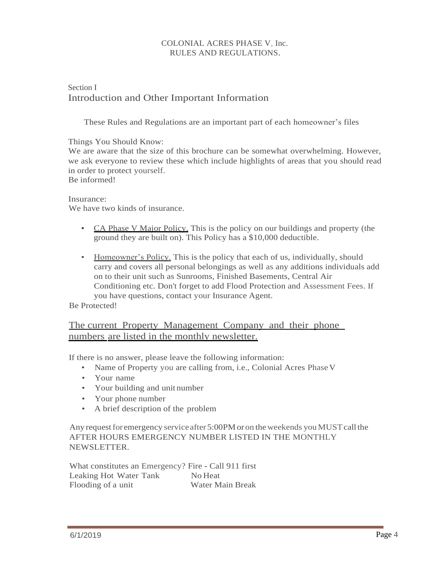## Section I Introduction and Other Important Information

These Rules and Regulations are an important part of each homeowner's files

Things You Should Know:

We are aware that the size of this brochure can be somewhat overwhelming. However, we ask everyone to review these which include highlights of areas that you should read in order to protect yourself.

Be informed!

<span id="page-4-0"></span>Insurance: We have two kinds of insurance.

- CA Phase V Major Policy. This is the policy on our buildings and property (the ground they are built on). This Policy has a \$10,000 deductible.
- Homeowner's Policy. This is the policy that each of us, individually, should carry and covers all personal belongings as well as any additions individuals add on to their unit such as Sunrooms, Finished Basements, Central Air Conditioning etc. Don't forget to add Flood Protection and Assessment Fees. If you have questions, contact your Insurance Agent.

Be Protected!

## The current Property Management Company and their phone numbers are listed in the monthly newsletter.

If there is no answer, please leave the following information:

- Name of Property you are calling from, i.e., Colonial Acres Phase V
- Your name
- Your building and unit number
- Your phone number
- A brief description of the problem

Any request for emergency service after 5:00PM or on the weekends you MUST call the AFTER HOURS EMERGENCY NUMBER LISTED IN THE MONTHLY NEWSLETTER.

What constitutes an Emergency? Fire - Call 911 first Leaking Hot Water Tank No Heat Flooding of a unit Water Main Break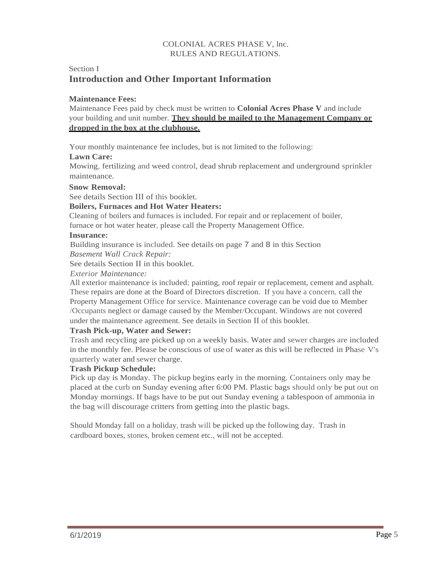## Section I **Introduction and Other Important Information**

## **Maintenance Fees:**

Maintenance Fees paid by check must be written to **Colonial Acres Phase V** and include your building and unit number. **They should be mailed to the Management Company or dropped in the box at the clubhouse.**

Your monthly maintenance fee includes, but is not limited to the following:

## **Lawn Care:**

Mowing, fertilizing and weed control, dead shrub replacement and underground sprinkler maintenance.

## **Snow Removal:**

See details Section III of this booklet.

## **Boilers, Furnaces and Hot Water Heaters:**

Cleaning of boilers and furnaces is included. For repair and or replacement of boiler,

furnace or hot water heater, please call the Property Management Office.

## **Insurance:**

Building insurance is included. See details on page 7 and 8 in this Section

*Basement Wall Crack Repair:*

See details Section II in this booklet.

*Exterior Maintenance:*

All exterior maintenance is included; painting, roof repair or replacement, cement and asphalt. These repairs are done at the Board of Directors discretion. If you have a concern, call the Property Management Office for service. Maintenance coverage can be void due to Member /Occupants neglect or damage caused by the Member/Occupant. Windows are not covered under the maintenance agreement. See details in Section II of this booklet.

## **Trash Pick-up, Water and Sewer:**

Trash and recycling are picked up on a weekly basis. Water and sewer charges are included in the monthly fee. Please be conscious of use of water as this will be reflected in Phase V's quarterly water and sewer charge.

#### **Trash Pickup Schedule:**

Pick up day is Monday. The pickup begins early in the morning. Containers only may be placed at the curb on Sunday evening after 6:00 PM. Plastic bags should only be put out on Monday mornings. If bags have to be put out Sunday evening a tablespoon of ammonia in the bag will discourage critters from getting into the plastic bags.

Should Monday fall on a holiday, trash will be picked up the following day. Trash in cardboard boxes, stones, broken cement etc., will not be accepted.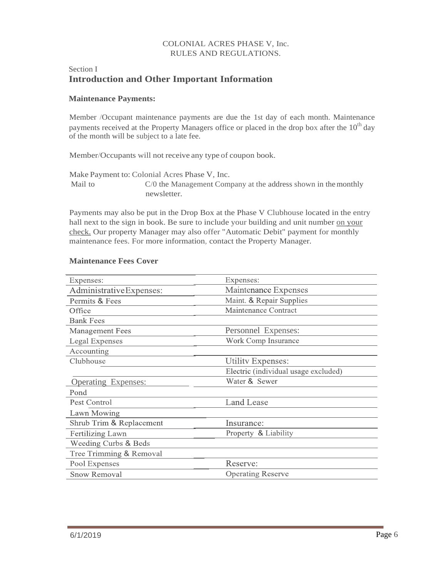## Section I **Introduction and Other Important Information**

#### **Maintenance Payments:**

Member /Occupant maintenance payments are due the 1st day of each month. Maintenance payments received at the Property Managers office or placed in the drop box after the  $10<sup>th</sup>$  day of the month will be subject to a late fee.

Member/Occupants will not receive any type of coupon book.

Make Payment to: Colonial Acres Phase V, Inc. Mail to C/0 the Management Company at the address shown in the monthly newsletter.

Payments may also be put in the Drop Box at the Phase V Clubhouse located in the entry hall next to the sign in book. Be sure to include your building and unit number on your check. Our property Manager may also offer "Automatic Debit" payment for monthly maintenance fees. For more information, contact the Property Manager.

## **Maintenance Fees Cover**

| Expenses:                            |
|--------------------------------------|
| Maintenance Expenses                 |
| Maint. & Repair Supplies             |
| Maintenance Contract                 |
|                                      |
| Personnel Expenses:                  |
| Work Comp Insurance                  |
|                                      |
| Utility Expenses:                    |
| Electric (individual usage excluded) |
| Water & Sewer                        |
|                                      |
| <b>Land Lease</b>                    |
|                                      |
| Insurance:                           |
| Property & Liability                 |
|                                      |
|                                      |
| Reserve:                             |
| <b>Operating Reserve</b>             |
|                                      |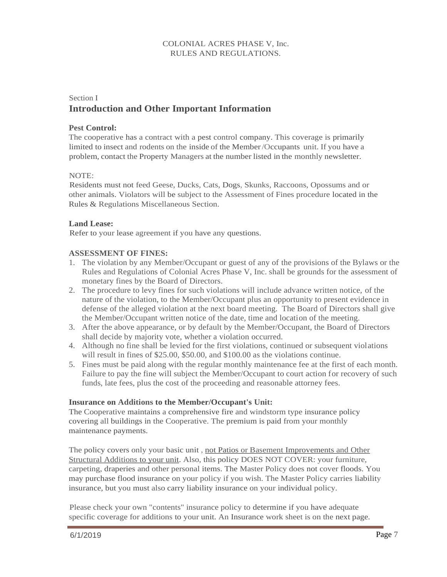## Section I **Introduction and Other Important Information**

## **Pest Control:**

The cooperative has a contract with a pest control company. This coverage is primarily limited to insect and rodents on the inside of the Member/Occupants unit. If you have a problem, contact the Property Managers at the number listed in the monthly newsletter.

## NOTE:

Residents must not feed Geese, Ducks, Cats, Dogs, Skunks, Raccoons, Opossums and or other animals. Violators will be subject to the Assessment of Fines procedure located in the Rules & Regulations Miscellaneous Section.

## **Land Lease:**

Refer to your lease agreement if you have any questions.

## **ASSESSMENT OF FINES:**

- 1. The violation by any Member/Occupant or guest of any of the provisions of the Bylaws or the Rules and Regulations of Colonial Acres Phase V, Inc. shall be grounds for the assessment of monetary fines by the Board of Directors.
- 2. The procedure to levy fines for such violations will include advance written notice, of the nature of the violation, to the Member/Occupant plus an opportunity to present evidence in defense of the alleged violation at the next board meeting. The Board of Directors shall give the Member/Occupant written notice of the date, time and location of the meeting.
- 3. After the above appearance, or by default by the Member/Occupant, the Board of Directors shall decide by majority vote, whether a violation occurred.
- 4. Although no fine shall be levied for the first violations, continued or subsequent violations will result in fines of \$25.00, \$50.00, and \$100.00 as the violations continue.
- 5. Fines must be paid along with the regular monthly maintenance fee at the first of each month. Failure to pay the fine will subject the Member/Occupant to court action for recovery of such funds, late fees, plus the cost of the proceeding and reasonable attorney fees.

#### **Insurance on Additions to the Member/Occupant's Unit:**

The Cooperative maintains a comprehensive fire and windstorm type insurance policy covering all buildings in the Cooperative. The premium is paid from your monthly maintenance payments.

The policy covers only your basic unit, not Patios or Basement Improvements and Other Structural Additions to your unit. Also, this policy DOES NOT COVER: your furniture, carpeting, draperies and other personal items. The Master Policy does not cover floods. You may purchase flood insurance on your policy if you wish. The Master Policy carries liability insurance, but you must also carry liability insurance on your individual policy.

Please check your own "contents" insurance policy to determine if you have adequate specific coverage for additions to your unit. An Insurance work sheet is on the next page.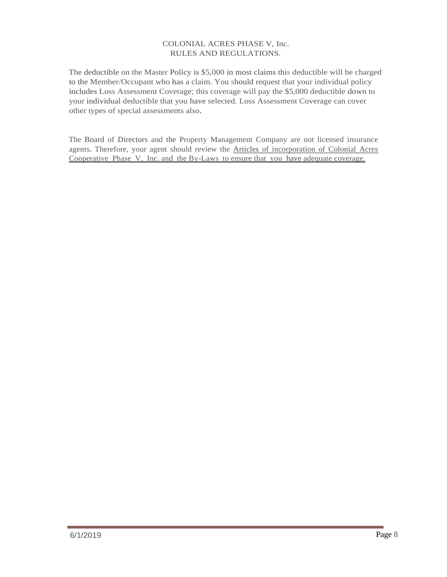The deductible on the Master Policy is \$5,000 in most claims this deductible will be charged to the Member/Occupant who has a claim. You should request that your individual policy includes Loss Assessment Coverage; this coverage will pay the \$5,000 deductible down to your individual deductible that you have selected. Loss Assessment Coverage can cover other types of special assessments also.

The Board of Directors and the Property Management Company are not licensed insurance agents. Therefore, your agent should review the Articles of incorporation of Colonial Acres Cooperative Phase V, Inc. and the By-Laws to ensure that you have adequate coverage.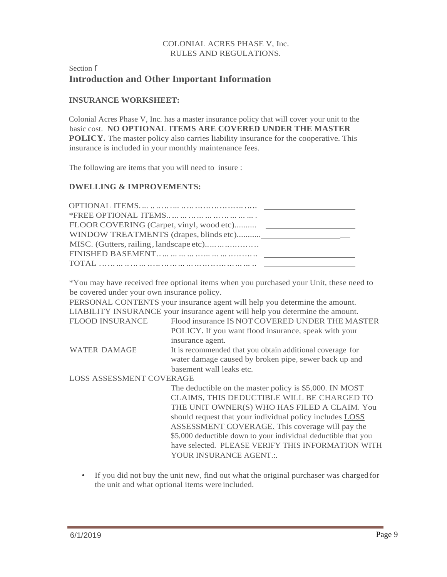## Section  $\Gamma$ **Introduction and Other Important Information**

## **INSURANCE WORKSHEET:**

Colonial Acres Phase V, Inc. has a master insurance policy that will cover your unit to the basic cost. **NO OPTIONAL ITEMS ARE COVERED UNDER THE MASTER POLICY.** The master policy also carries liability insurance for the cooperative. This insurance is included in your monthly maintenance fees.

The following are items that you will need to insure :

#### **DWELLING & IMPROVEMENTS:**

| FLOOR COVERING (Carpet, vinyl, wood etc) |  |
|------------------------------------------|--|
|                                          |  |
|                                          |  |
|                                          |  |
|                                          |  |

\*You may have received free optional items when you purchased your Unit, these need to be covered under your own insurance policy.

PERSONAL CONTENTS your insurance agent will help you determine the amount. LIABILITY INSURANCE your insurance agent will help you determine the amount.

| <b>FLOOD INSURANCE</b> | Flood insurance IS NOT COVERED UNDER THE MASTER           |
|------------------------|-----------------------------------------------------------|
|                        | POLICY. If you want flood insurance, speak with your      |
|                        | insurance agent.                                          |
| WATER DAMAGE           | It is recommended that you obtain additional coverage for |

water damage caused by broken pipe, sewer back up and basement wall leaks etc.

LOSS ASSESSMENT COVERAGE

The deductible on the master policy is \$5,000. IN MOST CLAIMS, THIS DEDUCTIBLE WILL BE CHARGED TO THE UNIT OWNER(S) WHO HAS FILED A CLAIM. You should request that your individual policy includes LOSS ASSESSMENT COVERAGE. This coverage will pay the \$5,000 deductible down to your individual deductible that you have selected. PLEASE VERIFY THIS INFORMATION WITH YOUR INSURANCE AGENT.:

• If you did not buy the unit new, find out what the original purchaser was charged for the unit and what optional items were included.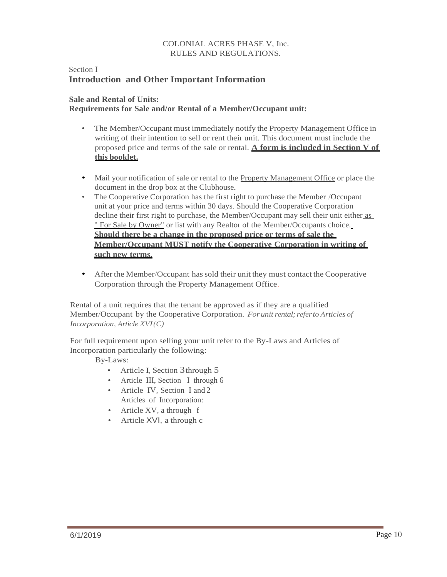## Section I **Introduction and Other Important Information**

## **Sale and Rental of Units: Requirements for Sale and/or Rental of a Member/Occupant unit:**

- The Member/Occupant must immediately notify the Property Management Office in writing of their intention to sell or rent their unit. This document must include the proposed price and terms of the sale or rental. **A form is included in Section V of this booklet.**
- Mail your notification of sale or rental to the Property Management Office or place the document in the drop box at the Clubhouse.
- The Cooperative Corporation has the first right to purchase the Member /Occupant unit at your price and terms within 30 days. Should the Cooperative Corporation decline their first right to purchase, the Member/Occupant may sell their unit either as " For Sale by Owner" or list with any Realtor of the Member/Occupants choice. **Should there be a change in the proposed price or terms of sale the Member/Occupant MUST notify the Cooperative Corporation in writing of such new terms.**
- After the Member/Occupant has sold their unit they must contact the Cooperative Corporation through the Property Management Office.

Rental of a unit requires that the tenant be approved as if they are a qualified Member/Occupant by the Cooperative Corporation. For *unit rental; refer to Articles of Incorporation, Article XVI(C)*

For full requirement upon selling your unit refer to the By-Laws and Articles of Incorporation particularly the following:

By-Laws:

- Article I, Section 3 through 5
- Article III, Section I through 6
- Article IV, Section I and 2 Articles of Incorporation:
- Article XV, a through f
- Article XVI, a through c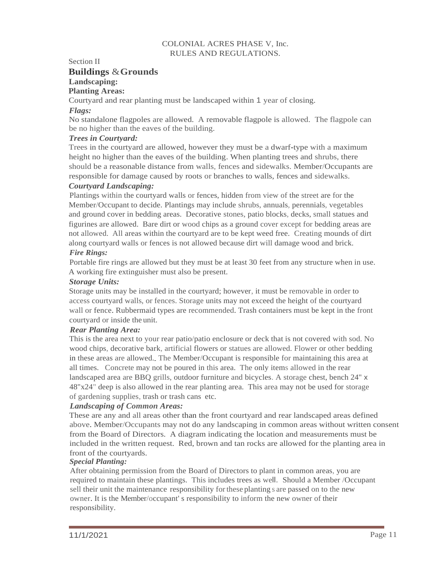#### Section II

# **Buildings** &**Grounds**

## **Landscaping:**

## **Planting Areas:**

Courtyard and rear planting must be landscaped within 1 year of closing.

## *Flags:*

No standalone flagpoles are allowed. A removable flagpole is allowed. The flagpole can be no higher than the eaves of the building.

## *Trees in Courtyard:*

Trees in the courtyard are allowed, however they must be a dwarf-type with a maximum height no higher than the eaves of the building. When planting trees and shrubs, there should be a reasonable distance from walls, fences and sidewalks. Member/Occupants are responsible for damage caused by roots or branches to walls, fences and sidewalks.

## *Courtyard Landscaping:*

Plantings within the courtyard walls or fences, hidden from view of the street are for the Member/Occupant to decide. Plantings may include shrubs, annuals, perennials, vegetables and ground cover in bedding areas. Decorative stones, patio blocks, decks, small statues and figurines are allowed. Bare dirt or wood chips as a ground cover except for bedding areas are not allowed. All areas within the courtyard are to be kept weed free. Creating mounds of dirt along courtyard walls or fences is not allowed because dirt will damage wood and brick. *Fire Rings:*

Portable fire rings are allowed but they must be at least 30 feet from any structure when in use. A working fire extinguisher must also be present.

## *Storage Units:*

Storage units may be installed in the courtyard; however, it must be removable in order to access courtyard walls, or fences. Storage units may not exceed the height of the courtyard wall or fence. Rubbermaid types are recommended. Trash containers must be kept in the front courtyard or inside the unit.

## *Rear Planting Area:*

This is the area next to your rear patio/patio enclosure or deck that is not covered with sod. No wood chips, decorative bark, artificial flowers or statues are allowed. Flower or other bedding in these areas are allowed. The Member/Occupant is responsible for maintaining this area at all times. Concrete may not be poured in this area. The only items allowed in the rear landscaped area are BBQ grills, outdoor furniture and bicycles. A storage chest, bench 24" x 48"x24" deep is also allowed in the rear planting area. This area may not be used for storage of gardening supplies, trash or trash cans etc.

## *Landscaping of Common Areas:*

These are any and all areas other than the front courtyard and rear landscaped areas defined above. Member/Occupants may not do any landscaping in common areas without written consent from the Board of Directors. A diagram indicating the location and measurements must be included in the written request. Red, brown and tan rocks are allowed for the planting area in front of the courtyards.

## *Special Planting:*

After obtaining permission from the Board of Directors to plant in common areas, you are required to maintain these plantings. This includes trees as well. Should a Member /Occupant sell their unit the maintenance responsibility forthese planting s are passed on to the new owner. It is the Member/occupant' s responsibility to inform the new owner of their responsibility.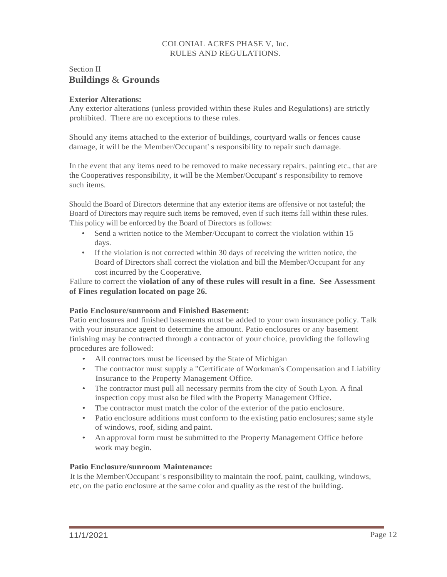## Section II **Buildings** & **Grounds**

## <span id="page-12-0"></span>**Exterior Alterations:**

Any exterior alterations (unless provided within these Rules and Regulations) are strictly prohibited. There are no exceptions to these rules.

Should any items attached to the exterior of buildings, courtyard walls or fences cause damage, it will be the Member/Occupant' s responsibility to repair such damage.

In the event that any items need to be removed to make necessary repairs, painting etc., that are the Cooperatives responsibility, it will be the Member/Occupant' s responsibility to remove such items.

Should the Board of Directors determine that any exterior items are offensive or not tasteful; the Board of Directors may require such items be removed, even if such items fall within these rules. This policy will be enforced by the Board of Directors as follows:

- Send a written notice to the Member/Occupant to correct the violation within 15 days.
- If the violation is not corrected within 30 days of receiving the written notice, the Board of Directors shall correct the violation and bill the Member/Occupant for any cost incurred by the Cooperative.

Failure to correct the **violation of any of these rules will result in a fine. See Assessment of Fines regulation located on page 26.**

## **Patio Enclosure/sunroom and Finished Basement:**

Patio enclosures and finished basements must be added to your own insurance policy. Talk with your insurance agent to determine the amount. Patio enclosures or any basement finishing may be contracted through a contractor of your choice, providing the following procedures are followed:

- All contractors must be licensed by the State of Michigan
- The contractor must supply a "Certificate of Workman's Compensation and Liability Insurance to the Property Management Office.
- The contractor must pull all necessary permits from the city of South Lyon. A final inspection copy must also be filed with the Property Management Office.
- The contractor must match the color of the exterior of the patio enclosure.
- Patio enclosure additions must conform to the existing patio enclosures; same style of windows, roof, siding and paint.
- An approval form must be submitted to the Property Management Office before work may begin.

## **Patio Enclosure/sunroom Maintenance:**

It isthe Member/Occupant's responsibility to maintain the roof, paint, caulking, windows, etc, on the patio enclosure at the same color and quality as the rest of the building.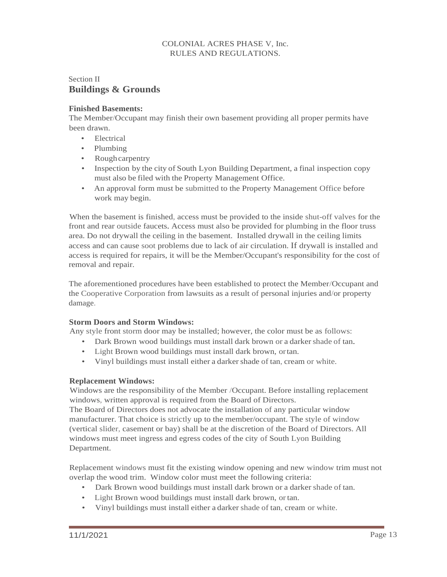## Section II **Buildings & Grounds**

## <span id="page-13-0"></span>**Finished Basements:**

The Member/Occupant may finish their own basement providing all proper permits have been drawn.

- **Electrical**
- Plumbing
- Rough carpentry
- Inspection by the city of South Lyon Building Department, a final inspection copy must also be filed with the Property Management Office.
- An approval form must be submitted to the Property Management Office before work may begin.

When the basement is finished, access must be provided to the inside shut-off valves for the front and rear outside faucets. Access must also be provided for plumbing in the floor truss area. Do not drywall the ceiling in the basement. Installed drywall in the ceiling limits access and can cause soot problems due to lack of air circulation. If drywall is installed and access is required for repairs, it will be the Member/Occupant's responsibility for the cost of removal and repair.

The aforementioned procedures have been established to protect the Member/Occupant and the Cooperative Corporation from lawsuits as a result of personal injuries and/or property damage.

## **Storm Doors and Storm Windows:**

Any style front storm door may be installed; however, the color must be as follows:

- Dark Brown wood buildings must install dark brown or a darker shade of tan.
- Light Brown wood buildings must install dark brown, ortan.
- Vinyl buildings must install either a darkershade of tan, cream or white.

## **Replacement Windows:**

Windows are the responsibility of the Member /Occupant. Before installing replacement windows, written approval is required from the Board of Directors.

The Board of Directors does not advocate the installation of any particular window manufacturer. That choice is strictly up to the member/occupant. The style of window (vertical slider, casement or bay) shall be at the discretion of the Board of Directors. All windows must meet ingress and egress codes of the city of South Lyon Building Department.

Replacement windows must fit the existing window opening and new window trim must not overlap the wood trim. Window color must meet the following criteria:

- Dark Brown wood buildings must install dark brown or a darker shade of tan.
- Light Brown wood buildings must install dark brown, ortan.
- Vinyl buildings must install either a darker shade of tan, cream or white.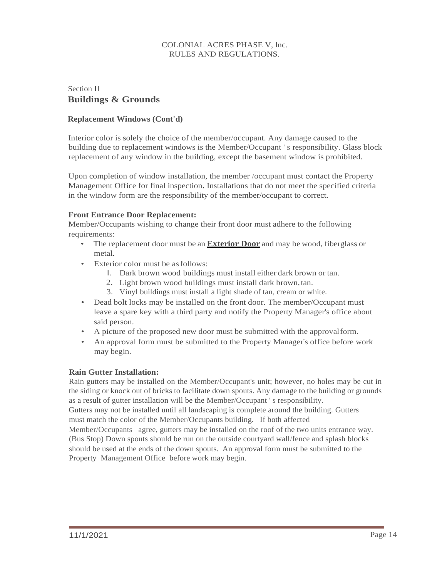## Section II **Buildings & Grounds**

## **Replacement Windows (Cont'd)**

Interior color is solely the choice of the member/occupant. Any damage caused to the building due to replacement windows is the Member/Occupant ' s responsibility. Glass block replacement of any window in the building, except the basement window is prohibited.

Upon completion of window installation, the member /occupant must contact the Property Management Office for final inspection. Installations that do not meet the specified criteria in the window form are the responsibility of the member/occupant to correct.

#### <span id="page-14-0"></span>**Front Entrance Door Replacement:**

Member/Occupants wishing to change their front door must adhere to the following requirements:

- The replacement door must be an **Exterior Door** and may be wood, fiberglass or metal.
- Exterior color must be as follows:
	- I. Dark brown wood buildings must install either dark brown or tan.
	- 2. Light brown wood buildings must install dark brown,tan.
	- 3. Vinyl buildings must install a light shade of tan, cream or white.
- Dead bolt locks may be installed on the front door. The member/Occupant must leave a spare key with a third party and notify the Property Manager's office about said person.
- A picture of the proposed new door must be submitted with the approvalform.
- An approval form must be submitted to the Property Manager's office before work may begin.

#### <span id="page-14-1"></span>**Rain Gutter Installation:**

Rain gutters may be installed on the Member/Occupant's unit; however, no holes may be cut in the siding or knock out of bricks to facilitate down spouts. Any damage to the building or grounds as a result of gutter installation will be the Member/Occupant ' s responsibility.

Gutters may not be installed until all landscaping is complete around the building. Gutters must match the color of the Member/Occupants building. If both affected

Member/Occupants agree, gutters may be installed on the roof of the two units entrance way. (Bus Stop) Down spouts should be run on the outside courtyard wall/fence and splash blocks should be used at the ends of the down spouts. An approval form must be submitted to the Property Management Office before work may begin.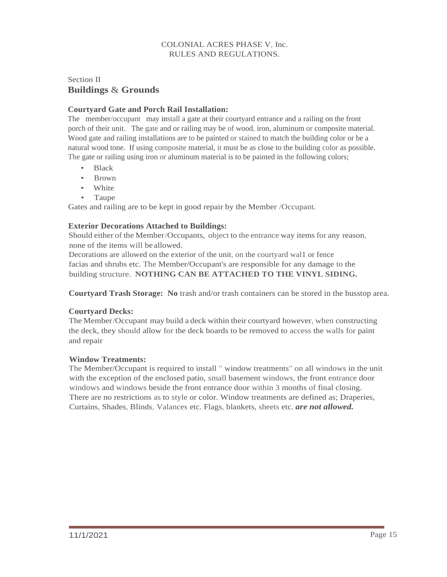## Section II **Buildings** & **Grounds**

## **Courtyard Gate and Porch Rail Installation:**

The member/occupant may install a gate at their courtyard entrance and a railing on the front porch of their unit. The gate and or railing may be of wood, iron, aluminum or composite material. Wood gate and railing installations are to be painted or stained to match the building color or be a natural wood tone. If using composite material, it must be as close to the building color as possible. The gate or railing using iron or aluminum material is to be painted in the following colors;

- Black
- Brown
- White
- Taupe

Gates and railing are to be kept in good repair by the Member /Occupant.

## **Exterior Decorations Attached to Buildings:**

Should either of the Member/Occupants, object to the entrance way items for any reason, none of the items will be allowed.

Decorations are allowed on the exterior of the unit, on the courtyard wal1 or fence facias and shrubs etc. The Member/Occupant's are responsible for any damage to the building structure. **NOTHING CAN BE ATTACHED TO THE VINYL SIDING.**

<span id="page-15-0"></span>**Courtyard Trash Storage: No** trash and/or trash containers can be stored in the busstop area.

## **Courtyard Decks:**

The Member/Occupant may build a deck within their courtyard however, when constructing the deck, they should allow for the deck boards to be removed to access the walls for paint and repair

## <span id="page-15-1"></span>**Window Treatments:**

The Member/Occupant is required to install " window treatments" on all windows in the unit with the exception of the enclosed patio, small basement windows, the front entrance door windows and windows beside the front entrance door within 3 months of final closing. There are no restrictions as to style or color. Window treatments are defined as; Draperies, Curtains, Shades, Blinds, Valances etc. Flags, blankets, sheets etc. *are not allowed.*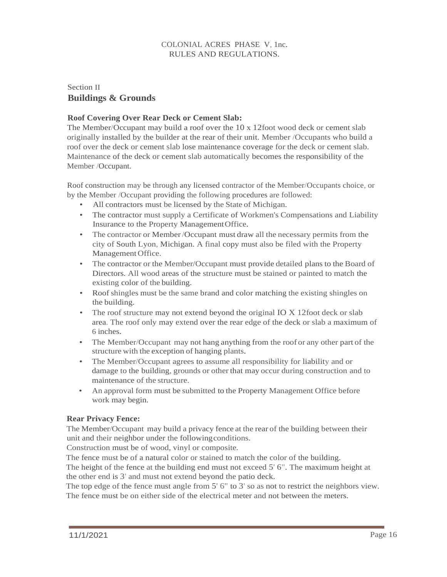## Section II **Buildings & Grounds**

## <span id="page-16-0"></span>**Roof Covering Over Rear Deck or Cement Slab:**

The Member/Occupant may build a roof over the 10 x 12foot wood deck or cement slab originally installed by the builder at the rear of their unit. Member /Occupants who build a roof over the deck or cement slab lose maintenance coverage for the deck or cement slab. Maintenance of the deck or cement slab automatically becomes the responsibility of the Member /Occupant.

Roof construction may be through any licensed contractor of the Member/Occupants choice, or by the Member /Occupant providing the following procedures are followed:

- All contractors must be licensed by the State of Michigan.
- The contractor must supply a Certificate of Workmen's Compensations and Liability Insurance to the Property ManagementOffice.
- The contractor or Member/Occupant must draw all the necessary permits from the city of South Lyon, Michigan. A final copy must also be filed with the Property Management Office.
- The contractor or the Member/Occupant must provide detailed plans to the Board of Directors. All wood areas of the structure must be stained or painted to match the existing color of the building.
- Roof shingles must be the same brand and color matching the existing shingles on the building.
- The roof structure may not extend beyond the original IO X 12foot deck or slab area. The roof only may extend over the rear edge of the deck or slab a maximum of 6 inches.
- The Member/Occupant may not hang anything from the roof or any other part of the structure with the exception of hanging plants.
- The Member/Occupant agrees to assume all responsibility for liability and or damage to the building, grounds or other that may occur during construction and to maintenance of the structure.
- An approval form must be submitted to the Property Management Office before work may begin.

#### **Rear Privacy Fence:**

The Member/Occupant may build a privacy fence at the rear of the building between their unit and their neighbor under the followingconditions.

Construction must be of wood, vinyl or composite.

The fence must be of a natural color or stained to match the color of the building. The height of the fence at the building end must not exceed 5' 6". The maximum height at the other end is 3' and must not extend beyond the patio deck.

The top edge of the fence must angle from 5' 6" to 3' so as not to restrict the neighbors view. The fence must be on either side of the electrical meter and not between the meters.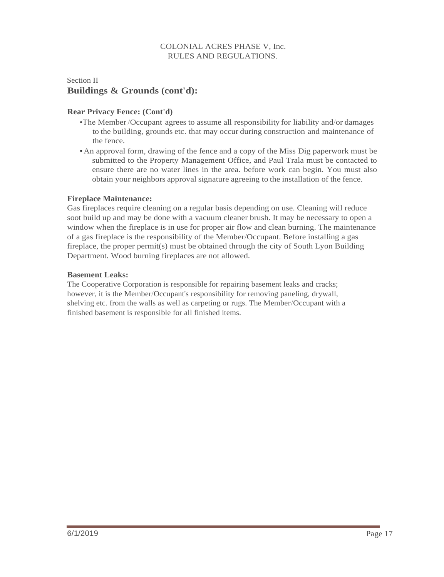## Section II **Buildings & Grounds (cont'd):**

## **Rear Privacy Fence: (Cont'd)**

- •The Member /Occupant agrees to assume all responsibility for liability and/or damages to the building, grounds etc. that may occur during construction and maintenance of the fence.
- •An approval form, drawing of the fence and a copy of the Miss Dig paperwork must be submitted to the Property Management Office, and Paul Trala must be contacted to ensure there are no water lines in the area. before work can begin. You must also obtain your neighbors approval signature agreeing to the installation of the fence.

#### **Fireplace Maintenance:**

Gas fireplaces require cleaning on a regular basis depending on use. Cleaning will reduce soot build up and may be done with a vacuum cleaner brush. It may be necessary to open a window when the fireplace is in use for proper air flow and clean burning. The maintenance of a gas fireplace is the responsibility of the Member/Occupant. Before installing a gas fireplace, the proper permit(s) must be obtained through the city of South Lyon Building Department. Wood burning fireplaces are not allowed.

#### <span id="page-17-0"></span>**Basement Leaks:**

The Cooperative Corporation is responsible for repairing basement leaks and cracks; however, it is the Member/Occupant's responsibility for removing paneling, drywall, shelving etc. from the walls as well as carpeting or rugs. The Member/Occupant with a finished basement is responsible for all finished items.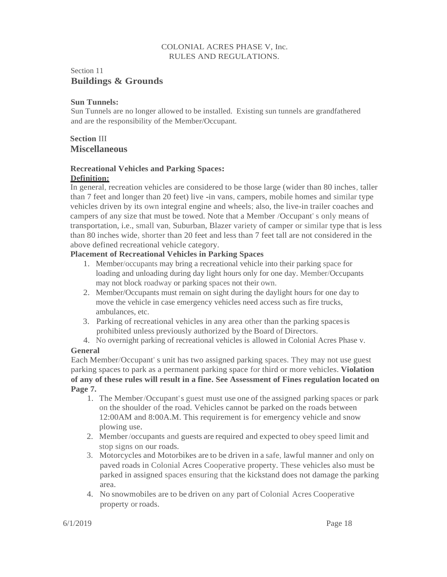## Section 11 **Buildings & Grounds**

## <span id="page-18-0"></span>**Sun Tunnels:**

Sun Tunnels are no longer allowed to be installed. Existing sun tunnels are grandfathered and are the responsibility of the Member/Occupant.

## **Section** III **Miscellaneous**

## **Recreational Vehicles and Parking Spaces: Definition:**

In general, recreation vehicles are considered to be those large (wider than 80 inches, taller than 7 feet and longer than 20 feet) live -in vans, campers, mobile homes and similar type vehicles driven by its own integral engine and wheels; also, the live-in trailer coaches and campers of any size that must be towed. Note that a Member /Occupant' s only means of transportation, i.e., small van, Suburban, Blazer variety of camper or similar type that is less than 80 inches wide, shorter than 20 feet and less than 7 feet tall are not considered in the above defined recreational vehicle category.

## **Placement of Recreational Vehicles in Parking Spaces**

- 1. Member/occupants may bring a recreational vehicle into their parking space for loading and unloading during day light hours only for one day. Member/Occupants may not block roadway or parking spaces not their own.
- 2. Member/Occupants must remain on sight during the daylight hours for one day to move the vehicle in case emergency vehicles need access such as fire trucks, ambulances, etc.
- 3. Parking of recreational vehicles in any area other than the parking spacesis prohibited unless previously authorized by the Board of Directors.
- 4. No overnight parking of recreational vehicles is allowed in Colonial Acres Phase v.

## **General**

Each Member/Occupant' s unit has two assigned parking spaces. They may not use guest parking spaces to park as a permanent parking space for third or more vehicles. **Violation of any of these rules will result in a fine. See Assessment of Fines regulation located on Page 7.**

- 1. The Member/Occupant's guest must use one of the assigned parking spaces or park on the shoulder of the road. Vehicles cannot be parked on the roads between 12:00AM and 8:00A.M. This requirement is for emergency vehicle and snow plowing use.
- 2. Member/occupants and guests are required and expected to obey speed limit and stop signs on our roads.
- 3. Motorcycles and Motorbikes are to be driven in a safe, lawful manner and only on paved roads in Colonial Acres Cooperative property. These vehicles also must be parked in assigned spaces ensuring that the kickstand does not damage the parking area.
- 4. No snowmobiles are to be driven on any part of Colonial Acres Cooperative property or roads.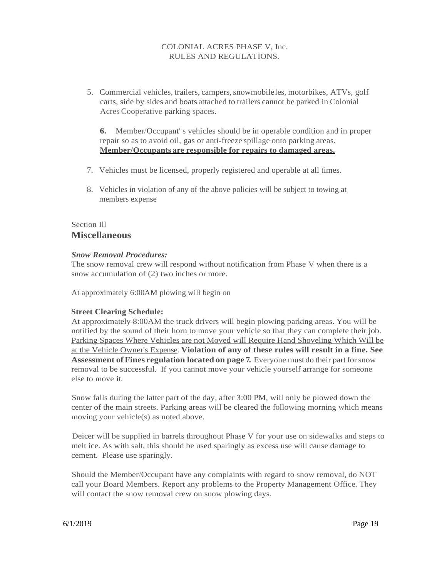5. Commercial vehicles, trailers, campers,snowmobileles, motorbikes, ATVs, golf carts, side by sides and boats attached to trailers cannot be parked in Colonial Acres Cooperative parking spaces.

**6.** Member/Occupant' s vehicles should be in operable condition and in proper repair so as to avoid oil, gas or anti-freeze spillage onto parking areas. **Member/Occupants are responsible for repairs to damaged areas.**

- 7. Vehicles must be licensed, properly registered and operable at all times.
- 8. Vehicles in violation of any of the above policies will be subject to towing at members expense

## Section Ill **Miscellaneous**

## *Snow Removal Procedures:*

The snow removal crew will respond without notification from Phase V when there is a snow accumulation of (2) two inches or more.

At approximately 6:00AM plowing will begin on

#### **Street Clearing Schedule:**

At approximately 8:00AM the truck drivers will begin plowing parking areas. You will be notified by the sound of their horn to move your vehicle so that they can complete their job. Parking Spaces Where Vehicles are not Moved will Require Hand Shoveling Which Will be at the Vehicle Owner's Expense. **Violation of any of these rules will result in a fine. See Assessment ofFines regulation located on page 7.** Everyone must do their part forsnow removal to be successful. If you cannot move your vehicle yourself arrange for someone else to move it.

Snow falls during the latter part of the day, after 3:00 PM, will only be plowed down the center of the main streets. Parking areas will be cleared the following morning which means moving your vehicle(s) as noted above.

Deicer will be supplied in barrels throughout Phase V for your use on sidewalks and steps to melt ice. As with salt, this should be used sparingly as excess use will cause damage to cement. Please use sparingly.

Should the Member/Occupant have any complaints with regard to snow removal, do NOT call your Board Members. Report any problems to the Property Management Office. They will contact the snow removal crew on snow plowing days.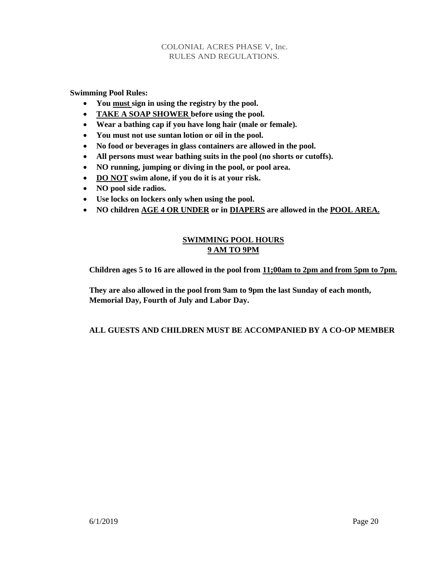**Swimming Pool Rules:**

- **You must sign in using the registry by the pool.**
- **TAKE A SOAP SHOWER before using the pool.**
- **Wear a bathing cap if you have long hair (male or female).**
- **You must not use suntan lotion or oil in the pool.**
- **No food or beverages in glass containers are allowed in the pool.**
- **All persons must wear bathing suits in the pool (no shorts or cutoffs).**
- **NO running, jumping or diving in the pool, or pool area.**
- **DO NOT swim alone, if you do it is at your risk.**
- **NO pool side radios.**
- **Use locks on lockers only when using the pool.**
- **NO children AGE 4 OR UNDER or in DIAPERS are allowed in the POOL AREA.**

## **SWIMMING POOL HOURS 9 AM TO 9PM**

**Children ages 5 to 16 are allowed in the pool from 11;00am to 2pm and from 5pm to 7pm.**

**They are also allowed in the pool from 9am to 9pm the last Sunday of each month, Memorial Day, Fourth of July and Labor Day.**

## **ALL GUESTS AND CHILDREN MUST BE ACCOMPANIED BY A CO-OP MEMBER**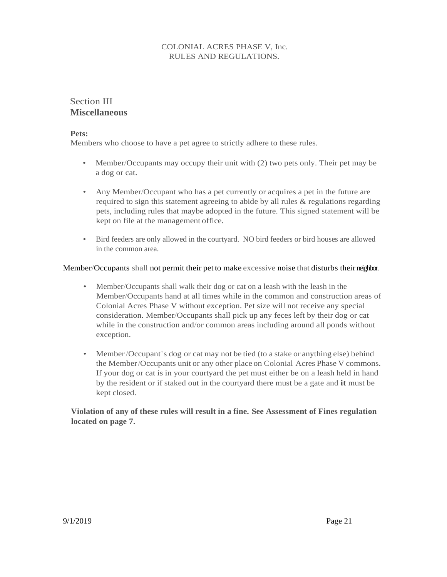# Section III **Miscellaneous**

#### <span id="page-21-0"></span>**Pets:**

Members who choose to have a pet agree to strictly adhere to these rules.

- Member/Occupants may occupy their unit with (2) two pets only. Their pet may be a dog or cat.
- Any Member/Occupant who has a pet currently or acquires a pet in the future are required to sign this statement agreeing to abide by all rules & regulations regarding pets, including rules that maybe adopted in the future. This signed statement will be kept on file at the management office.
- Bird feeders are only allowed in the courtyard. NO bird feeders or bird houses are allowed in the common area.

## Member/Occupants shall not permit their pet to make excessive noise that disturbs their neighbor.

- Member/Occupants shall walk their dog or cat on a leash with the leash in the Member/Occupants hand at all times while in the common and construction areas of Colonial Acres Phase V without exception. Pet size will not receive any special consideration. Member/Occupants shall pick up any feces left by their dog or cat while in the construction and/or common areas including around all ponds without exception.
- Member/Occupant's dog or cat may not be tied (to a stake or anything else) behind the Member/Occupants unit or any other place on Colonial Acres Phase V commons. If your dog or cat is in your courtyard the pet must either be on a leash held in hand by the resident or if staked out in the courtyard there must be a gate and **it** must be kept closed.

## **Violation of any of these rules will result in a fine. See Assessment of Fines regulation located on page 7.**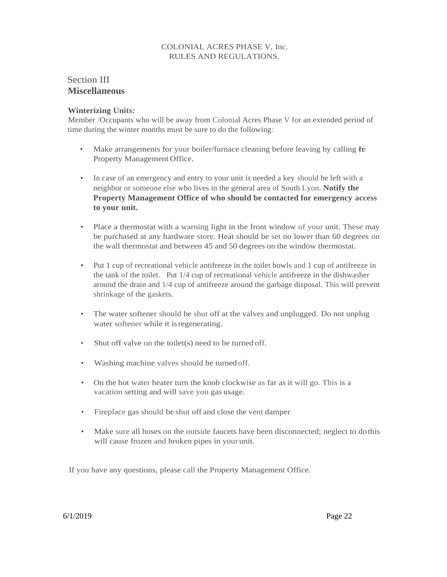# Section III **Miscellaneous**

#### **Winterizing Units:**

Member /Occupants who will be away from Colonial Acres Phase V for an extended period of time during the winter months must be sure to do the following:

- Make arrangements for your boiler/furnace cleaning before leaving by calling the Property Management Office.
- In case of an emergency and entry to your unit is needed a key should be left with a neighbor or someone else who lives in the general area of South Lyon. **Notify the Property Management Office of who should be contacted for emergency access to your unit.**
- Place a thermostat with a warning light in the front window of your unit. These may be purchased at any hardware store. Heat should be set no lower than 60 degrees on the wall thermostat and between 45 and 50 degrees on the window thermostat.
- Put 1 cup of recreational vehicle antifreeze in the toilet bowls and 1 cup of antifreeze in the tank of the toilet. Put 1/4 cup of recreational vehicle antifreeze in the dishwasher around the drain and 1/4 cup of antifreeze around the garbage disposal. This will prevent shrinkage of the gaskets.
- The water softener should be shut off at the valves and unplugged. Do not unplug water softener while it isregenerating.
- Shut off valve on the toilet(s) need to be turned off.
- Washing machine valves should be turnedoff.
- On the hot water heater turn the knob clockwise as far as it will go. This is a vacation setting and will save you gas usage.
- Fireplace gas should be shut off and close the vent damper
- Make sure all hoses on the outside faucets have been disconnected; neglect to do this will cause frozen and broken pipes in your unit.

If you have any questions, please call the Property Management Office.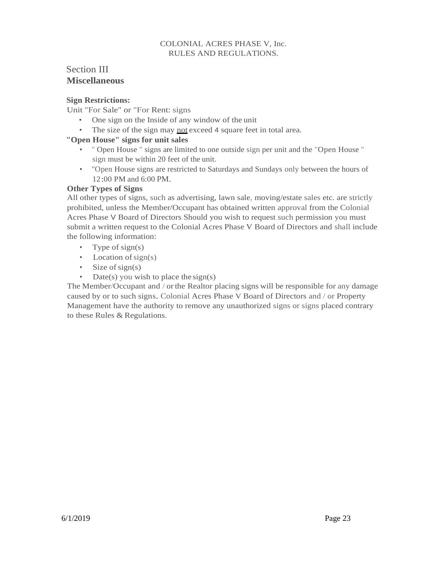# Section III **Miscellaneous**

## <span id="page-23-0"></span>**Sign Restrictions:**

Unit "For Sale" or "For Rent: signs

- One sign on the Inside of any window of the unit
- The size of the sign may not exceed 4 square feet in total area.

## **"Open House" signs for unit sales**

- " Open House " signs are limited to one outside sign per unit and the "Open House " sign must be within 20 feet of the unit.
- "Open House signs are restricted to Saturdays and Sundays only between the hours of 12:00 PM and 6:00 PM.

## **Other Types of Signs**

All other types of signs, such as advertising, lawn sale, moving/estate sales etc. are strictly prohibited, unless the Member/Occupant has obtained written approval from the Colonial Acres Phase V Board of Directors Should you wish to request such permission you must submit a written request to the Colonial Acres Phase V Board of Directors and shall include the following information:

- Type of sign(s)
- Location of  $sign(s)$
- Size of sign(s)
- Date(s) you wish to place the sign(s)

The Member/Occupant and / orthe Realtor placing signs will be responsible for any damage caused by or to such signs. Colonial Acres Phase V Board of Directors and / or Property Management have the authority to remove any unauthorized signs or signs placed contrary to these Rules & Regulations.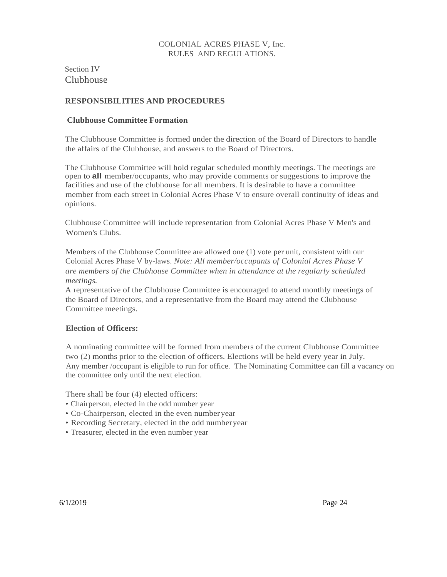Section IV Clubhouse

## **RESPONSIBILITIES AND PROCEDURES**

#### **Clubhouse Committee Formation**

The Clubhouse Committee is formed under the direction of the Board of Directors to handle the affairs of the Clubhouse, and answers to the Board of Directors.

The Clubhouse Committee will hold regular scheduled monthly meetings. The meetings are open to **all** member/occupants, who may provide comments or suggestions to improve the facilities and use of the clubhouse for all members. It is desirable to have a committee member from each street in Colonial Acres Phase V to ensure overall continuity of ideas and opinions.

Clubhouse Committee will include representation from Colonial Acres Phase V Men's and Women's Clubs.

Members of the Clubhouse Committee are allowed one (1) vote per unit, consistent with our Colonial Acres Phase V by-laws. *Note: All member/occupants of Colonial Acres Phase V are members of the Clubhouse Committee when in attendance at the regularly scheduled meetings.*

A representative of the Clubhouse Committee is encouraged to attend monthly meetings of the Board of Directors, and a representative from the Board may attend the Clubhouse Committee meetings.

#### **Election of Officers:**

A nominating committee will be formed from members of the current Clubhouse Committee two (2) months prior to the election of officers. Elections will be held every year in July. Any member /occupant is eligible to run for office. The Nominating Committee can fill a vacancy on the committee only until the next election.

There shall be four (4) elected officers:

- Chairperson, elected in the odd number year
- Co-Chairperson, elected in the even numberyear
- Recording Secretary, elected in the odd numberyear
- Treasurer, elected in the even number year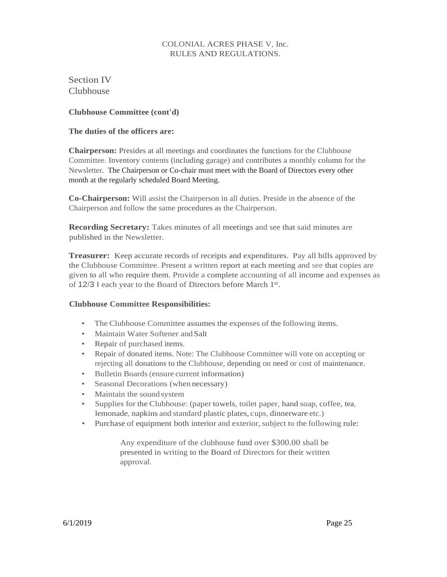<span id="page-25-0"></span>Section IV Clubhouse

**Clubhouse Committee (cont'd)** 

## **The duties of the officers are:**

**Chairperson:** Presides at all meetings and coordinates the functions for the Clubhouse Committee. Inventory contents (including garage) and contributes a monthly column for the Newsletter. The Chairperson or Co-chair must meet with the Board of Directors every other month at the regularly scheduled Board Meeting.

**Co-Chairperson:** Will assist the Chairperson in all duties. Preside in the absence of the Chairperson and follow the same procedures as the Chairperson.

**Recording Secretary:** Takes minutes of all meetings and see that said minutes are published in the Newsletter.

**Treasurer:** Keep accurate records of receipts and expenditures. Pay all bills approved by the Clubhouse Committee. Present a written report at each meeting and see that copies are given to all who require them. Provide a complete accounting of all income and expenses as of 12/3 l each year to the Board of Directors before March 1st.

## **Clubhouse Committee Responsibilities:**

- The Clubhouse Committee assumes the expenses of the following items.
- Maintain Water Softener and Salt
- Repair of purchased items.
- Repair of donated items. Note: The Clubhouse Committee will vote on accepting or rejecting all donations to the Clubhouse, depending on need or cost of maintenance.
- Bulletin Boards(ensure current information)
- Seasonal Decorations (when necessary)
- Maintain the sound system
- Supplies for the Clubhouse: (paper towels, toilet paper, hand soap, coffee, tea, lemonade, napkins and standard plastic plates, cups, dinnerware etc.)
- Purchase of equipment both interior and exterior, subject to the following rule:

Any expenditure of the clubhouse fund over \$300.00 shall be presented in writing to the Board of Directors for their written approval.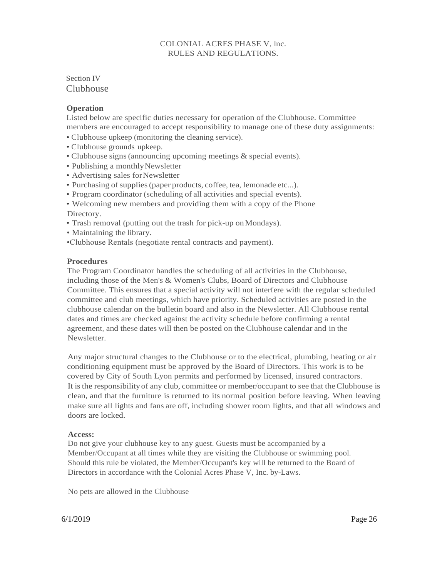Section IV Clubhouse

#### <span id="page-26-0"></span>**Operation**

Listed below are specific duties necessary for operation of the Clubhouse. Committee members are encouraged to accept responsibility to manage one of these duty assignments:

- Clubhouse upkeep (monitoring the cleaning service).
- Clubhouse grounds upkeep.
- Clubhouse signs(announcing upcoming meetings & special events).
- Publishing a monthly Newsletter
- Advertising sales forNewsletter
- Purchasing of supplies (paper products, coffee, tea, lemonade etc...).
- Program coordinator (scheduling of all activities and special events).
- Welcoming new members and providing them with a copy of the Phone Directory.
- Trash removal (putting out the trash for pick-up onMondays).
- Maintaining the library.
- •Clubhouse Rentals (negotiate rental contracts and payment).

#### **Procedures**

The Program Coordinator handles the scheduling of all activities in the Clubhouse, including those of the Men's & Women's Clubs, Board of Directors and Clubhouse Committee. This ensures that a special activity will not interfere with the regular scheduled committee and club meetings, which have priority. Scheduled activities are posted in the clubhouse calendar on the bulletin board and also in the Newsletter. All Clubhouse rental dates and times are checked against the activity schedule before confirming a rental agreement, and these dates will then be posted on the Clubhouse calendar and in the Newsletter.

Any major structural changes to the Clubhouse or to the electrical, plumbing, heating or air conditioning equipment must be approved by the Board of Directors. This work is to be covered by City of South Lyon permits and performed by licensed, insured contractors. It is the responsibility of any club, committee or member/occupant to see that theClubhouse is clean, and that the furniture is returned to its normal position before leaving. When leaving make sure all lights and fans are off, including shower room lights, and that all windows and doors are locked.

#### <span id="page-26-1"></span>**Access:**

Do not give your clubhouse key to any guest. Guests must be accompanied by a Member/Occupant at all times while they are visiting the Clubhouse or swimming pool. Should this rule be violated, the Member/Occupant's key will be returned to the Board of Directors in accordance with the Colonial Acres Phase V, Inc. by-Laws.

No pets are allowed in the Clubhouse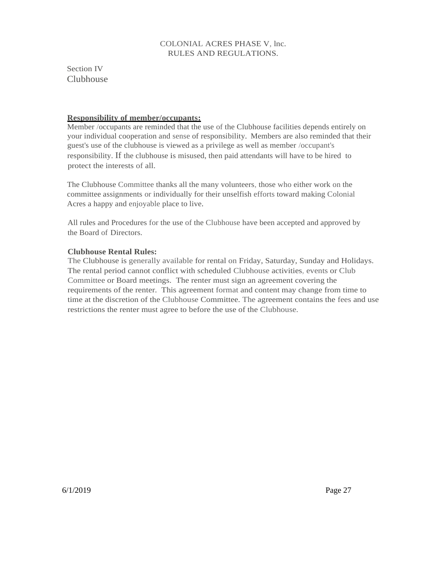Section IV Clubhouse

#### **Responsibility of member/occupants:**

Member /occupants are reminded that the use of the Clubhouse facilities depends entirely on your individual cooperation and sense of responsibility. Members are also reminded that their guest's use of the clubhouse is viewed as a privilege as well as member /occupant's responsibility. If the clubhouse is misused, then paid attendants will have to be hired to protect the interests of all.

The Clubhouse Committee thanks all the many volunteers, those who either work on the committee assignments or individually for their unselfish efforts toward making Colonial Acres a happy and enjoyable place to live.

All rules and Procedures for the use of the Clubhouse have been accepted and approved by the Board of Directors.

## **Clubhouse Rental Rules:**

The Clubhouse is generally available for rental on Friday, Saturday, Sunday and Holidays. The rental period cannot conflict with scheduled Clubhouse activities, events or Club Committee or Board meetings. The renter must sign an agreement covering the requirements of the renter. This agreement format and content may change from time to time at the discretion of the Clubhouse Committee. The agreement contains the fees and use restrictions the renter must agree to before the use of the Clubhouse.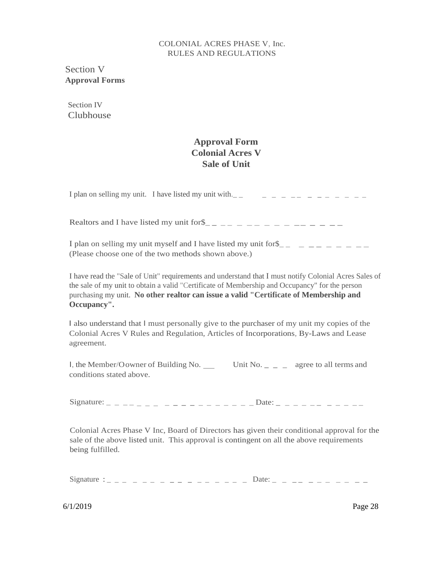Section V **Approval Forms**

Section IV Clubhouse

## **Approval Form Colonial Acres V Sale of Unit**

I plan on selling my unit. I have listed my unit with.  $\frac{1}{2}$   $\frac{1}{2}$   $\frac{1}{2}$   $\frac{1}{2}$   $\frac{1}{2}$   $\frac{1}{2}$   $\frac{1}{2}$   $\frac{1}{2}$   $\frac{1}{2}$   $\frac{1}{2}$   $\frac{1}{2}$   $\frac{1}{2}$   $\frac{1}{2}$   $\frac{1}{2}$   $\frac{1}{2}$   $\frac{1}{2}$   $\frac{1}{$ 

Realtors and I have listed my unit for  $\frac{1}{2}$   $\frac{1}{2}$   $\frac{1}{2}$   $\frac{1}{2}$   $\frac{1}{2}$   $\frac{1}{2}$   $\frac{1}{2}$   $\frac{1}{2}$   $\frac{1}{2}$   $\frac{1}{2}$   $\frac{1}{2}$   $\frac{1}{2}$   $\frac{1}{2}$   $\frac{1}{2}$   $\frac{1}{2}$   $\frac{1}{2}$   $\frac{1}{2}$   $\frac{1}{2}$   $\$ 

I plan on selling my unit myself and I have listed my unit for  $\frac{1}{2}$   $\frac{1}{2}$   $\frac{1}{2}$   $\frac{1}{2}$   $\frac{1}{2}$   $\frac{1}{2}$   $\frac{1}{2}$   $\frac{1}{2}$   $\frac{1}{2}$   $\frac{1}{2}$   $\frac{1}{2}$   $\frac{1}{2}$   $\frac{1}{2}$   $\frac{1}{2}$   $\frac{1}{2}$   $\frac{1}{2}$ (Please choose one of the two methods shown above.)

I have read the "Sale of Unit" requirements and understand that I must notify Colonial Acres Sales of the sale of my unit to obtain a valid "Certificate of Membership and Occupancy" for the person purchasing my unit. **No other realtor can issue a valid "Certificate of Membership and Occupancy".**

I also understand that I must personally give to the purchaser of my unit my copies of the Colonial Acres V Rules and Regulation, Articles of Incorporations, By-Laws and Lease agreement.

l, the Member/Oowner of Building No. \_\_\_\_\_ Unit No. \_ \_ \_ agree to all terms and conditions stated above.

Signature:  $\frac{1}{2}$  \_ \_ \_ \_ \_ \_ \_ \_ \_ \_ \_ \_ \_ \_ \_ \_ \_ Date: \_ \_ \_ \_ \_ \_ \_ \_ \_ \_ \_ \_

Colonial Acres Phase V Inc, Board of Directors has given their conditional approval for the sale of the above listed unit. This approval is contingent on all the above requirements being fulfilled.

Signature : \_ \_ \_ \_ \_ \_ \_ \_ \_ \_ \_ \_ \_ \_ Date: \_ \_ \_ \_ \_ \_ \_ \_ \_ \_ \_ \_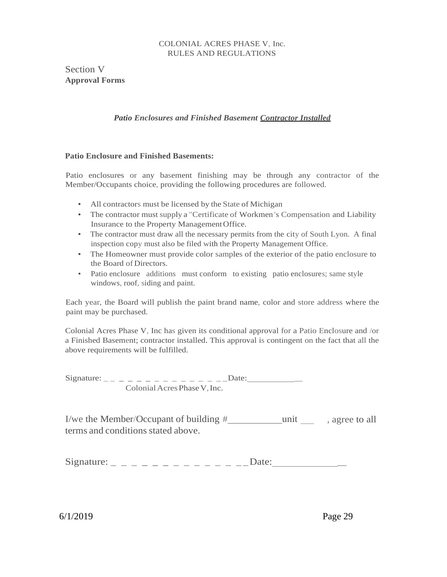Section V **Approval Forms**

## *Patio Enclosures and Finished Basement Contractor Installed*

## **Patio Enclosure and Finished Basements:**

Patio enclosures or any basement finishing may be through any contractor of the Member/Occupants choice, providing the following procedures are followed.

- All contractors must be licensed by the State of Michigan
- The contractor must supply a "Certificate of Workmen's Compensation and Liability Insurance to the Property ManagementOffice.
- The contractor must draw all the necessary permits from the city of South Lyon. A final inspection copy must also be filed with the Property Management Office.
- The Homeowner must provide color samples of the exterior of the patio enclosure to the Board of Directors.
- Patio enclosure additions must conform to existing patio enclosures; same style windows, roof, siding and paint.

Each year, the Board will publish the paint brand name, color and store address where the paint may be purchased.

Colonial Acres Phase V, Inc has given its conditional approval for a Patio Enclosure and /or a Finished Basement; contractor installed. This approval is contingent on the fact that all the above requirements will be fulfilled.

Signature: \_ \_ \_ \_ \_ \_ \_ \_ \_ \_ \_ \_ \_ \_ \_Date: \_ Colonial Acres Phase V, Inc.

I/we the Member/Occupant of building  $\#$  \_\_\_\_\_\_\_\_\_\_\_\_\_\_\_\_\_\_\_\_\_\_\_\_\_\_\_, agree to all terms and conditions stated above.

Signature: \_ \_ \_ \_ \_ \_ \_ \_ \_ \_ \_ \_ \_ \_Date: \_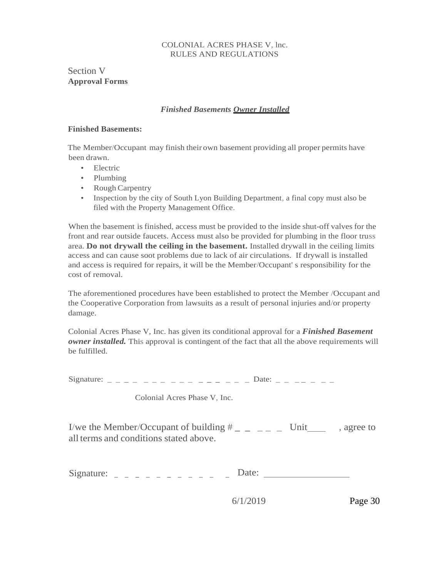Section V **Approval Forms**

## *Finished Basements Owner Installed*

#### <span id="page-30-0"></span>**Finished Basements:**

The Member/Occupant may finish their own basement providing all proper permits have been drawn.

- Electric
- Plumbing
- Rough Carpentry
- Inspection by the city of South Lyon Building Department, a final copy must also be filed with the Property Management Office.

When the basement is finished, access must be provided to the inside shut-off valves for the front and rear outside faucets. Access must also be provided for plumbing in the floor truss area. **Do not drywall the ceiling in the basement.** Installed drywall in the ceiling limits access and can cause soot problems due to lack of air circulations. If drywall is installed and access is required for repairs, it will be the Member/Occupant' s responsibility for the cost of removal.

The aforementioned procedures have been established to protect the Member /Occupant and the Cooperative Corporation from lawsuits as a result of personal injuries and/or property damage.

Colonial Acres Phase V, Inc. has given its conditional approval for a *Finished Basement owner installed.* This approval is contingent of the fact that all the above requirements will be fulfilled.

Signature:  $\angle$  \_ \_ \_ \_ \_ \_ \_ \_ \_ \_ \_ \_ \_ \_ Date: \_ \_ \_ \_ \_ \_ \_

Colonial Acres Phase V, Inc.

I/we the Member/Occupant of building  $\#$   $\_$   $\_$   $\_$   $\_$  Unit  $\_$ , agree to all terms and conditions stated above.

Signature:  $\frac{1}{2} - \frac{1}{2} - \frac{1}{2} - \frac{1}{2} - \frac{1}{2} - \frac{1}{2}$  Date: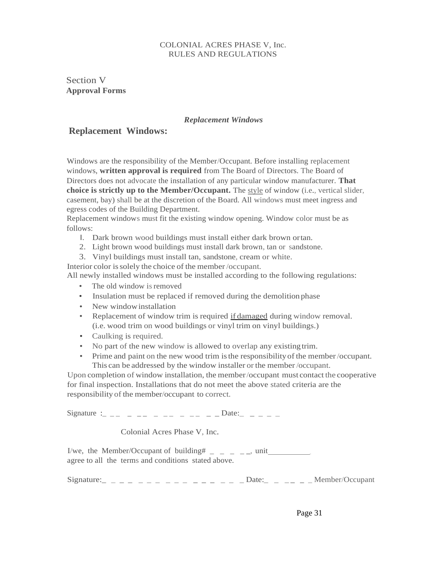Section V **Approval Forms**

#### *Replacement Windows*

#### <span id="page-31-0"></span>**Replacement Windows:**

Windows are the responsibility of the Member/Occupant. Before installing replacement windows, **written approval is required** from The Board of Directors. The Board of Directors does not advocate the installation of any particular window manufacturer. **That choice is strictly up to the Member/Occupant.** The style of window (i.e., vertical slider, casement, bay) shall be at the discretion of the Board. All windows must meet ingress and egress codes of the Building Department.

Replacement windows must fit the existing window opening. Window color must be as follows:

- I. Dark brown wood buildings must install either dark brown ortan.
- 2. Light brown wood buildings must install dark brown, tan or sandstone.
- 3. Vinyl buildings must install tan, sandstone, cream or white.

Interior color is solely the choice of the member/occupant. All newly installed windows must be installed according to the following regulations:

- The old window is removed
- Insulation must be replaced if removed during the demolition phase
- New window installation
- Replacement of window trim is required if damaged during window removal. (i.e. wood trim on wood buildings or vinyl trim on vinyl buildings.)
- Caulking is required.
- No part of the new window is allowed to overlap any existing trim.
- Prime and paint on the new wood trim isthe responsibilityof the member/occupant. This can be addressed by the window installer or the member /occupant.

Upon completion of window installation, the member/occupant must contact the cooperative for final inspection. Installations that do not meet the above stated criteria are the responsibility of the member/occupant to correct.

Signature :\_ \_ \_ \_ \_ \_ \_ \_ \_ \_ \_ \_ \_ \_ Date:\_ \_ \_ \_ \_

Colonial Acres Phase V, Inc.

I/we, the Member/Occupant of building#  $\qquad$   $\qquad$   $\qquad$   $\qquad$   $\qquad$   $\qquad$   $\qquad$   $\qquad$   $\qquad$   $\qquad$   $\qquad$   $\qquad$   $\qquad$   $\qquad$   $\qquad$   $\qquad$   $\qquad$   $\qquad$   $\qquad$   $\qquad$   $\qquad$   $\qquad$   $\qquad$   $\qquad$   $\qquad$   $\qquad$   $\qquad$   $\qquad$   $\qquad$   $\qquad$   $\$ agree to all the terms and conditions stated above.

 $Signature:$  \_ \_ \_ \_ \_ \_ \_ \_ \_ \_ \_ \_ \_ \_ \_ \_ Date: \_ \_ \_ \_ \_ \_ Member/Occupant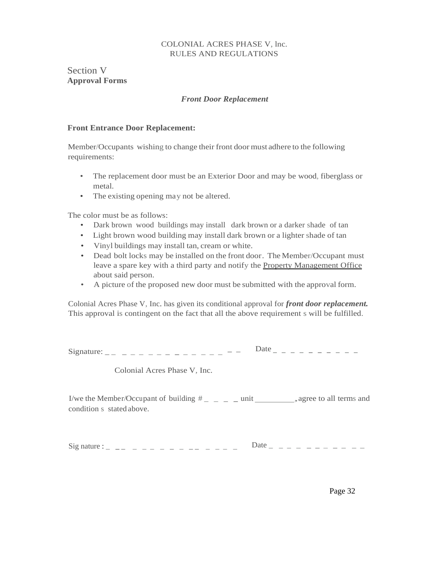<span id="page-32-0"></span>Section V **Approval Forms**

#### *Front Door Replacement*

#### **Front Entrance Door Replacement:**

Member/Occupants wishing to change their front door must adhere to the following requirements:

- The replacement door must be an Exterior Door and may be wood, fiberglass or metal.
- The existing opening may not be altered.

The color must be as follows:

- Dark brown wood buildings may install dark brown or a darker shade of tan
- Light brown wood building may install dark brown or a lighter shade of tan
- Vinyl buildings may install tan, cream or white.
- Dead bolt locks may be installed on the front door. The Member/Occupant must leave a spare key with a third party and notify the **Property Management Office** about said person.
- A picture of the proposed new door must be submitted with the approval form.

Colonial Acres Phase V, Inc. has given its conditional approval for *front door replacement.* This approval is contingent on the fact that all the above requirement s will be fulfilled.

|  |  |  | ---------- |
|--|--|--|------------|

Colonial Acres Phase V, Inc.

I/we the Member/Occupant of building # \_ \_ \_ \_ unit ,agree to all terms and condition s stated above.

Sig nature : \_ \_ \_ \_ \_ \_ \_ \_ \_ \_ \_ \_ \_ \_ Date \_ \_ \_ \_ \_ \_ \_ \_ \_ \_ \_

Page 32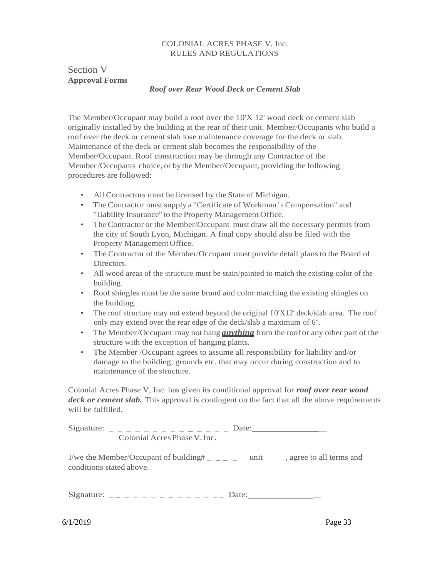## <span id="page-33-0"></span>Section V **Approval Forms**

#### *Roof over Rear Wood Deck or Cement Slab*

The Member/Occupant may build a roof over the 10'X 12' wood deck or cement slab originally installed by the building at the rear of their unit. Member/Occupants who build a roof over the deck or cement slab lose maintenance coverage for the deck or slab. Maintenance of the deck or cement slab becomes the responsibility of the Member/Occupant. Roof construction may be through any Contractor of the Member/Occupants choice, or by the Member/Occupant, providing the following procedures are followed:

- All Contractors must be licensed by the State of Michigan.
- The Contractor must supply a "Certificate of Workman 's Compensation" and "Liability Insurance" to the Property Management Office.
- The Contractor or the Member/Occupant must draw all the necessary permits from the city of South Lyon, Michigan. A final copy should also be filed with the Property Management Office.
- The Contractor of the Member/Occupant must provide detail plans to the Board of Directors.
- All wood areas of the structure must be stain/painted to match the existing color of the building.
- Roof shingles must be the same brand and color matching the existing shingles on the building.
- The roof structure may not extend beyond the original  $10'X12'$  deck/slab area. The roof only may extend over the rear edge of the deck/slab a maximum of 6".
- The Member/Occupant may not hang **anything** from the roof or any other part of the structure with the exception of hanging plants.
- The Member /Occupant agrees to assume all responsibility for liability and/or damage to the building, grounds etc. that may occur during construction and to maintenance of the structure.

Colonial Acres Phase V, Inc. has given its conditional approval for *roof over rear wood deck or cement slab.* This approval is contingent on the fact that all the above requirements will be fulfilled.

|                              | Date: |
|------------------------------|-------|
| Colonial Acres Phase V. Inc. |       |

I/we the Member/Occupant of building  $\#$   $\_$   $\_$   $\_$   $\_$  unit  $\_$ , agree to all terms and conditions stated above.

Signature:  $\frac{1}{2}$  \_ \_ \_ \_ \_ \_ \_ \_ \_ \_ \_ \_ \_ Date: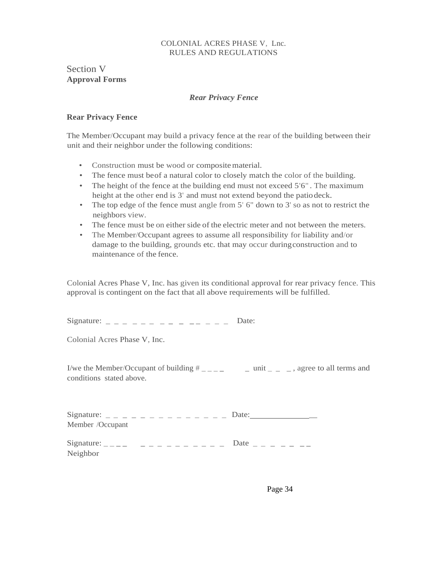## Section V **Approval Forms**

#### *Rear Privacy Fence*

## <span id="page-34-0"></span>**Rear Privacy Fence**

The Member/Occupant may build a privacy fence at the rear of the building between their unit and their neighbor under the following conditions:

- Construction must be wood or compositematerial.
- The fence must be of a natural color to closely match the color of the building.
- The height of the fence at the building end must not exceed 5'6". The maximum height at the other end is 3' and must not extend beyond the patiodeck.
- The top edge of the fence must angle from 5' 6" down to 3' so as not to restrict the neighbors view.
- The fence must be on either side of the electric meter and not between the meters.
- The Member/Occupant agrees to assume all responsibility for liability and/or damage to the building, grounds etc. that may occur duringconstruction and to maintenance of the fence.

Colonial Acres Phase V, Inc. has given its conditional approval for rear privacy fence. This approval is contingent on the fact that all above requirements will be fulfilled.

Signature: \_ \_ \_ \_ \_ \_ \_ \_ \_ \_ \_ \_ \_ \_ Date:

Colonial Acres Phase V, Inc.

I/we the Member/Occupant of building  $\#$   $\_\_$   $\_\_$   $\_\_$  unit  $\_\_$   $\_\_$  agree to all terms and conditions stated above.

|                  | Date: |
|------------------|-------|
| Member /Occupant |       |

| Signature: _ _ _ _ _ _ _ _ _ _ _ _ _ _ _ _ |  |  |  |  |  | Date $- - - - -$ |  |  |  |  |
|--------------------------------------------|--|--|--|--|--|------------------|--|--|--|--|
| Neighbor                                   |  |  |  |  |  |                  |  |  |  |  |

Page 34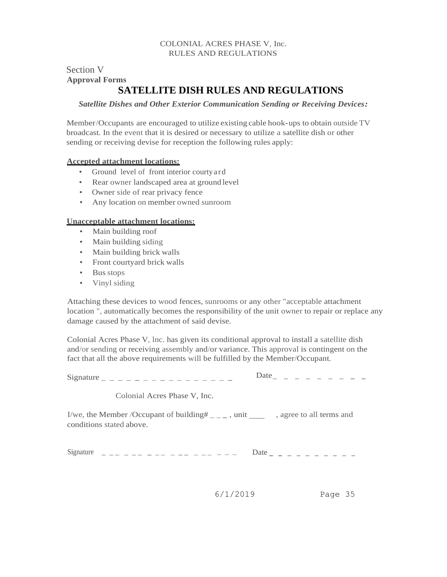# Section V **Approval Forms**

# **SATELLITE DISH RULES AND REGULATIONS**

#### *Satellite Dishes and Other Exterior Communication Sending or Receiving Devices:*

Member/Occupants are encouraged to utilize existing cable hook-ups to obtain outside TV broadcast. In the event that it is desired or necessary to utilize a satellite dish or other sending or receiving devise for reception the following rules apply:

#### **Accepted attachment locations:**

- Ground level of front interior courtyard
- Rear owner landscaped area at ground level
- Owner side of rear privacy fence
- Any location on member owned sunroom

#### **Unacceptable attachment locations:**

- Main building roof
- Main building siding
- Main building brick walls
- Front courtyard brick walls
- Bus stops
- Vinyl siding

Attaching these devices to wood fences, sunrooms or any other "acceptable attachment location ", automatically becomes the responsibility of the unit owner to repair or replace any damage caused by the attachment of said devise.

Colonial Acres Phase V, lnc. has given its conditional approval to install a satellite dish and/or sending or receiving assembly and/or variance. This approval is contingent on the fact that all the above requirements will be fulfilled by the Member/Occupant.

Signature \_ \_ \_ \_ \_ \_ \_ \_ \_ \_ \_ \_ \_ \_ Date\_ \_ \_ \_ \_ \_ \_ \_ \_ \_

Colonial Acres Phase V, Inc.

I/we, the Member /Occupant of building  $\#_{\_ \text{---}}$ , unit  $\_$ , agree to all terms and conditions stated above.

Signature \_ \_ \_ \_ \_ \_ \_ \_ \_ \_ \_ \_ \_ \_ \_ \_ \_ \_ Date- - - - - - - - - -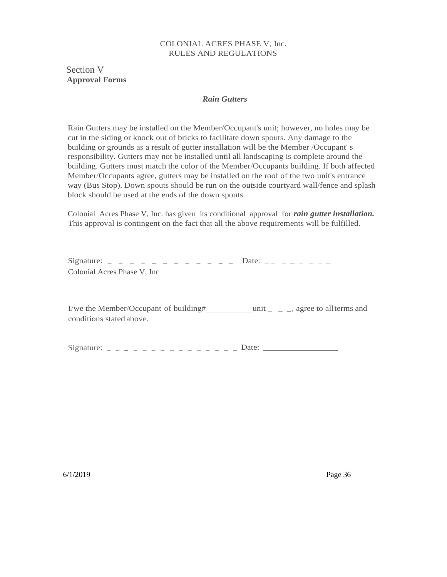## <span id="page-36-0"></span>Section V **Approval Forms**

#### *Rain Gutters*

Rain Gutters may be installed on the Member/Occupant's unit; however, no holes may be cut in the siding or knock out of bricks to facilitate down spouts. Any damage to the building or grounds as a result of gutter installation will be the Member /Occupant' s responsibility. Gutters may not be installed until all landscaping is complete around the building. Gutters must match the color of the Member/Occupants building. If both affected Member/Occupants agree, gutters may be installed on the roof of the two unit's entrance way (Bus Stop). Down spouts should be run on the outside courtyard wall/fence and splash block should be used at the ends of the down spouts.

Colonial Acres Phase V, Inc. has given its conditional approval for *rain gutter installation.* This approval is contingent on the fact that all the above requirements will be fulfilled.

| Colonial Acres Phase V, Inc. |  |  |  |  |  |  |
|------------------------------|--|--|--|--|--|--|

I/we the Member/Occupant of building# $\_\_\_\_\_\_\_\$ unit $\_\_\_\_\_\$ gree to allterms and conditions stated above.

Signature:  $- - - - - - - - - - - - - - -$  Date: